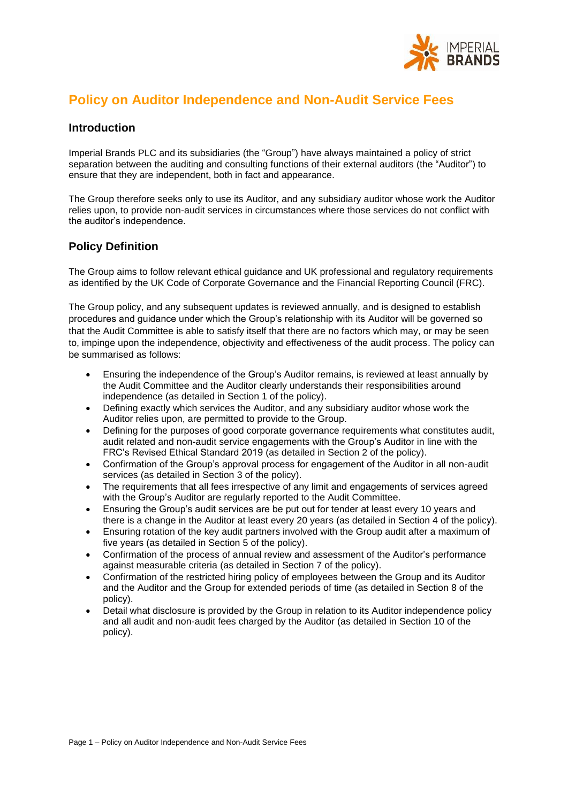

# **Policy on Auditor Independence and Non-Audit Service Fees**

### **Introduction**

Imperial Brands PLC and its subsidiaries (the "Group") have always maintained a policy of strict separation between the auditing and consulting functions of their external auditors (the "Auditor") to ensure that they are independent, both in fact and appearance.

The Group therefore seeks only to use its Auditor, and any subsidiary auditor whose work the Auditor relies upon, to provide non-audit services in circumstances where those services do not conflict with the auditor's independence.

### **Policy Definition**

The Group aims to follow relevant ethical guidance and UK professional and regulatory requirements as identified by the UK Code of Corporate Governance and the Financial Reporting Council (FRC).

The Group policy, and any subsequent updates is reviewed annually, and is designed to establish procedures and guidance under which the Group's relationship with its Auditor will be governed so that the [Audit Committee](https://www.drax.com/about-us/corporate-governance/#the-audit-committee) is able to satisfy itself that there are no factors which may, or may be seen to, impinge upon the independence, objectivity and effectiveness of the audit process. The policy can be summarised as follows:

- Ensuring the independence of the Group's Auditor remains, is reviewed at least annually by the Audit Committee and the Auditor clearly understands their responsibilities around independence (as detailed in Section 1 of the policy).
- Defining exactly which services the Auditor, and any subsidiary auditor whose work the Auditor relies upon, are permitted to provide to the Group.
- Defining for the purposes of good corporate governance requirements what constitutes audit, audit related and non-audit service engagements with the Group's Auditor in line with the FRC's Revised Ethical Standard 2019 (as detailed in Section 2 of the policy).
- Confirmation of the Group's approval process for engagement of the Auditor in all non-audit services (as detailed in Section 3 of the policy).
- The requirements that all fees irrespective of any limit and engagements of services agreed with the Group's Auditor are regularly reported to the Audit Committee.
- Ensuring the Group's audit services are be put out for tender at least every 10 years and there is a change in the Auditor at least every 20 years (as detailed in Section 4 of the policy).
- Ensuring rotation of the key audit partners involved with the Group audit after a maximum of five years (as detailed in Section 5 of the policy).
- Confirmation of the process of annual review and assessment of the Auditor's performance against measurable criteria (as detailed in Section 7 of the policy).
- Confirmation of the restricted hiring policy of employees between the Group and its Auditor and the Auditor and the Group for extended periods of time (as detailed in Section 8 of the policy).
- Detail what disclosure is provided by the Group in relation to its Auditor independence policy and all audit and non-audit fees charged by the Auditor (as detailed in Section 10 of the policy).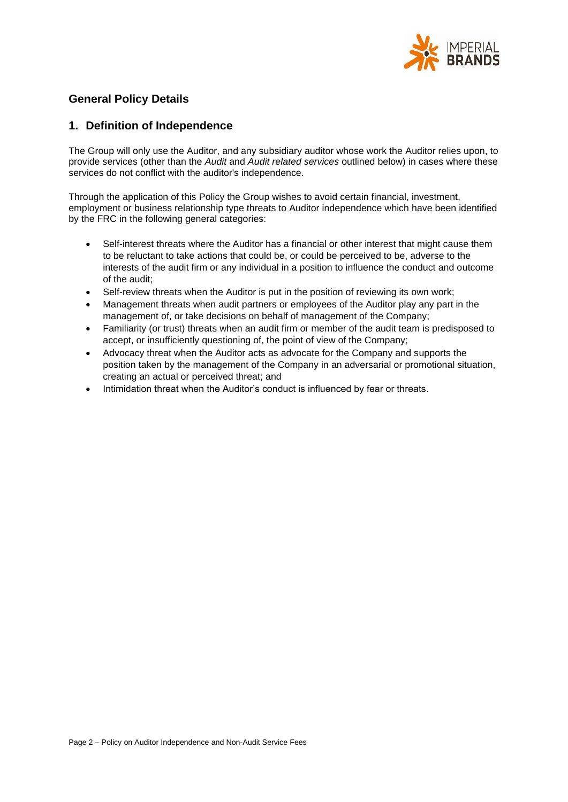

# **General Policy Details**

### **1. Definition of Independence**

The Group will only use the Auditor, and any subsidiary auditor whose work the Auditor relies upon, to provide services (other than the *Audit* and *Audit related services* outlined below) in cases where these services do not conflict with the auditor's independence.

Through the application of this Policy the Group wishes to avoid certain financial, investment, employment or business relationship type threats to Auditor independence which have been identified by the FRC in the following general categories:

- Self-interest threats where the Auditor has a financial or other interest that might cause them to be reluctant to take actions that could be, or could be perceived to be, adverse to the interests of the audit firm or any individual in a position to influence the conduct and outcome of the audit;
- Self-review threats when the Auditor is put in the position of reviewing its own work:
- Management threats when audit partners or employees of the Auditor play any part in the management of, or take decisions on behalf of management of the Company;
- Familiarity (or trust) threats when an audit firm or member of the audit team is predisposed to accept, or insufficiently questioning of, the point of view of the Company;
- Advocacy threat when the Auditor acts as advocate for the Company and supports the position taken by the management of the Company in an adversarial or promotional situation, creating an actual or perceived threat; and
- Intimidation threat when the Auditor's conduct is influenced by fear or threats.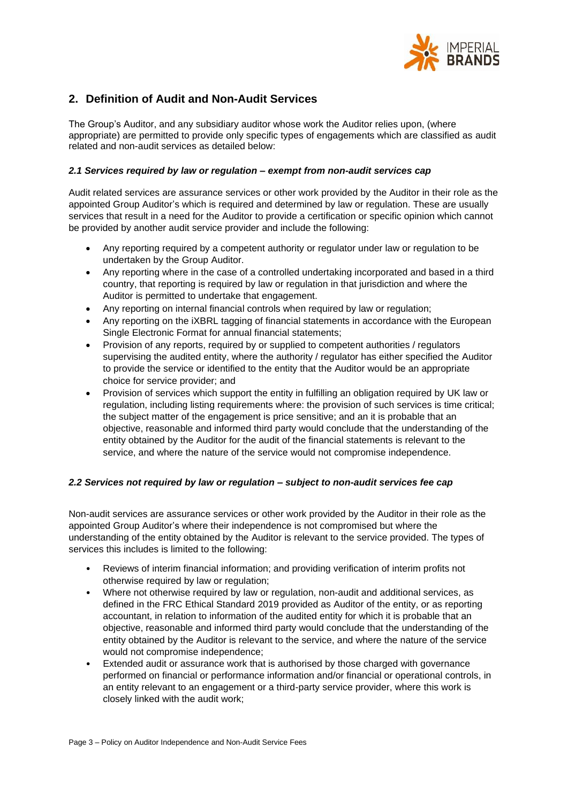

# **2. Definition of Audit and Non-Audit Services**

The Group's Auditor, and any subsidiary auditor whose work the Auditor relies upon, (where appropriate) are permitted to provide only specific types of engagements which are classified as audit related and non-audit services as detailed below:

#### *2.1 Services required by law or regulation – exempt from non-audit services cap*

Audit related services are assurance services or other work provided by the Auditor in their role as the appointed Group Auditor's which is required and determined by law or regulation. These are usually services that result in a need for the Auditor to provide a certification or specific opinion which cannot be provided by another audit service provider and include the following:

- Any reporting required by a competent authority or regulator under law or regulation to be undertaken by the Group Auditor.
- Any reporting where in the case of a controlled undertaking incorporated and based in a third country, that reporting is required by law or regulation in that jurisdiction and where the Auditor is permitted to undertake that engagement.
- Any reporting on internal financial controls when required by law or regulation;
- Any reporting on the iXBRL tagging of financial statements in accordance with the European Single Electronic Format for annual financial statements;
- Provision of any reports, required by or supplied to competent authorities / regulators supervising the audited entity, where the authority / regulator has either specified the Auditor to provide the service or identified to the entity that the Auditor would be an appropriate choice for service provider; and
- Provision of services which support the entity in fulfilling an obligation required by UK law or regulation, including listing requirements where: the provision of such services is time critical; the subject matter of the engagement is price sensitive; and an it is probable that an objective, reasonable and informed third party would conclude that the understanding of the entity obtained by the Auditor for the audit of the financial statements is relevant to the service, and where the nature of the service would not compromise independence.

#### *2.2 Services not required by law or regulation – subject to non-audit services fee cap*

Non-audit services are assurance services or other work provided by the Auditor in their role as the appointed Group Auditor's where their independence is not compromised but where the understanding of the entity obtained by the Auditor is relevant to the service provided. The types of services this includes is limited to the following:

- Reviews of interim financial information; and providing verification of interim profits not otherwise required by law or regulation;
- Where not otherwise required by law or regulation, non-audit and additional services, as defined in the FRC Ethical Standard 2019 provided as Auditor of the entity, or as reporting accountant, in relation to information of the audited entity for which it is probable that an objective, reasonable and informed third party would conclude that the understanding of the entity obtained by the Auditor is relevant to the service, and where the nature of the service would not compromise independence;
- Extended audit or assurance work that is authorised by those charged with governance performed on financial or performance information and/or financial or operational controls, in an entity relevant to an engagement or a third-party service provider, where this work is closely linked with the audit work;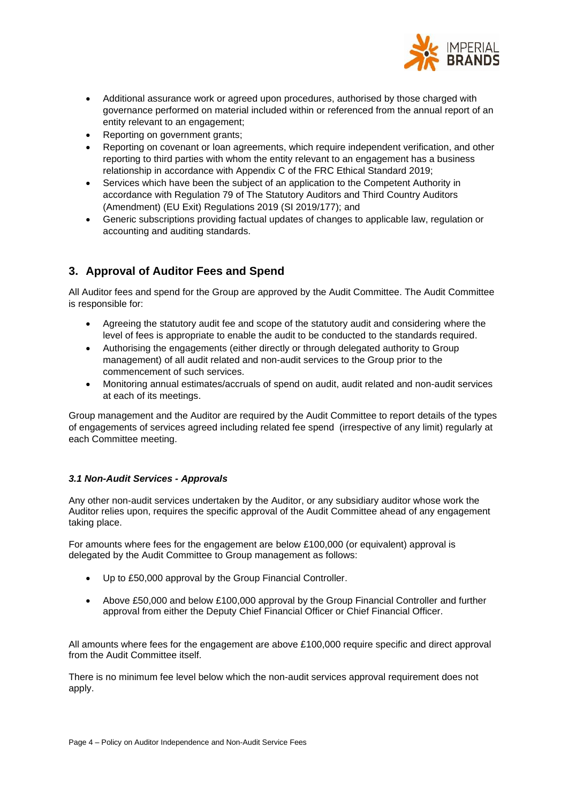

- Additional assurance work or agreed upon procedures, authorised by those charged with governance performed on material included within or referenced from the annual report of an entity relevant to an engagement;
- Reporting on government grants;
- Reporting on covenant or loan agreements, which require independent verification, and other reporting to third parties with whom the entity relevant to an engagement has a business relationship in accordance with Appendix C of the FRC Ethical Standard 2019;
- Services which have been the subject of an application to the Competent Authority in accordance with Regulation 79 of The Statutory Auditors and Third Country Auditors (Amendment) (EU Exit) Regulations 2019 (SI 2019/177); and
- Generic subscriptions providing factual updates of changes to applicable law, regulation or accounting and auditing standards.

# **3. Approval of Auditor Fees and Spend**

All Auditor fees and spend for the Group are approved by the Audit Committee. The Audit Committee is responsible for:

- Agreeing the statutory audit fee and scope of the statutory audit and considering where the level of fees is appropriate to enable the audit to be conducted to the standards required.
- Authorising the engagements (either directly or through delegated authority to Group management) of all audit related and non-audit services to the Group prior to the commencement of such services.
- Monitoring annual estimates/accruals of spend on audit, audit related and non-audit services at each of its meetings.

Group management and the Auditor are required by the Audit Committee to report details of the types of engagements of services agreed including related fee spend (irrespective of any limit) regularly at each Committee meeting.

#### *3.1 Non-Audit Services - Approvals*

Any other non-audit services undertaken by the Auditor, or any subsidiary auditor whose work the Auditor relies upon, requires the specific approval of the Audit Committee ahead of any engagement taking place.

For amounts where fees for the engagement are below £100,000 (or equivalent) approval is delegated by the Audit Committee to Group management as follows:

- Up to £50,000 approval by the Group Financial Controller.
- Above £50,000 and below £100,000 approval by the Group Financial Controller and further approval from either the Deputy Chief Financial Officer or Chief Financial Officer.

All amounts where fees for the engagement are above £100,000 require specific and direct approval from the Audit Committee itself.

There is no minimum fee level below which the non-audit services approval requirement does not apply.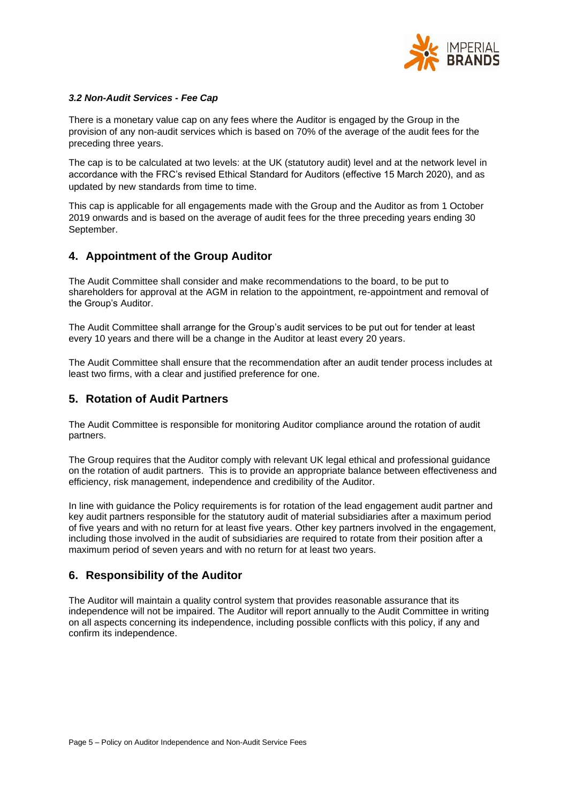

#### *3.2 Non-Audit Services - Fee Cap*

There is a monetary value cap on any fees where the Auditor is engaged by the Group in the provision of any non-audit services which is based on 70% of the average of the audit fees for the preceding three years.

The cap is to be calculated at two levels: at the UK (statutory audit) level and at the network level in accordance with the FRC's revised Ethical Standard for Auditors (effective 15 March 2020), and as updated by new standards from time to time.

This cap is applicable for all engagements made with the Group and the Auditor as from 1 October 2019 onwards and is based on the average of audit fees for the three preceding years ending 30 September.

### **4. Appointment of the Group Auditor**

The Audit Committee shall consider and make recommendations to the board, to be put to shareholders for approval at the AGM in relation to the appointment, re-appointment and removal of the Group's Auditor.

The Audit Committee shall arrange for the Group's audit services to be put out for tender at least every 10 years and there will be a change in the Auditor at least every 20 years.

The Audit Committee shall ensure that the recommendation after an audit tender process includes at least two firms, with a clear and justified preference for one.

### **5. Rotation of Audit Partners**

The Audit Committee is responsible for monitoring Auditor compliance around the rotation of audit partners.

The Group requires that the Auditor comply with relevant UK legal ethical and professional guidance on the rotation of audit partners. This is to provide an appropriate balance between effectiveness and efficiency, risk management, independence and credibility of the Auditor.

In line with guidance the Policy requirements is for rotation of the lead engagement audit partner and key audit partners responsible for the statutory audit of material subsidiaries after a maximum period of five years and with no return for at least five years. Other key partners involved in the engagement, including those involved in the audit of subsidiaries are required to rotate from their position after a maximum period of seven years and with no return for at least two years.

#### **6. Responsibility of the Auditor**

The Auditor will maintain a quality control system that provides reasonable assurance that its independence will not be impaired. The Auditor will report annually to the Audit Committee in writing on all aspects concerning its independence, including possible conflicts with this policy, if any and confirm its independence.